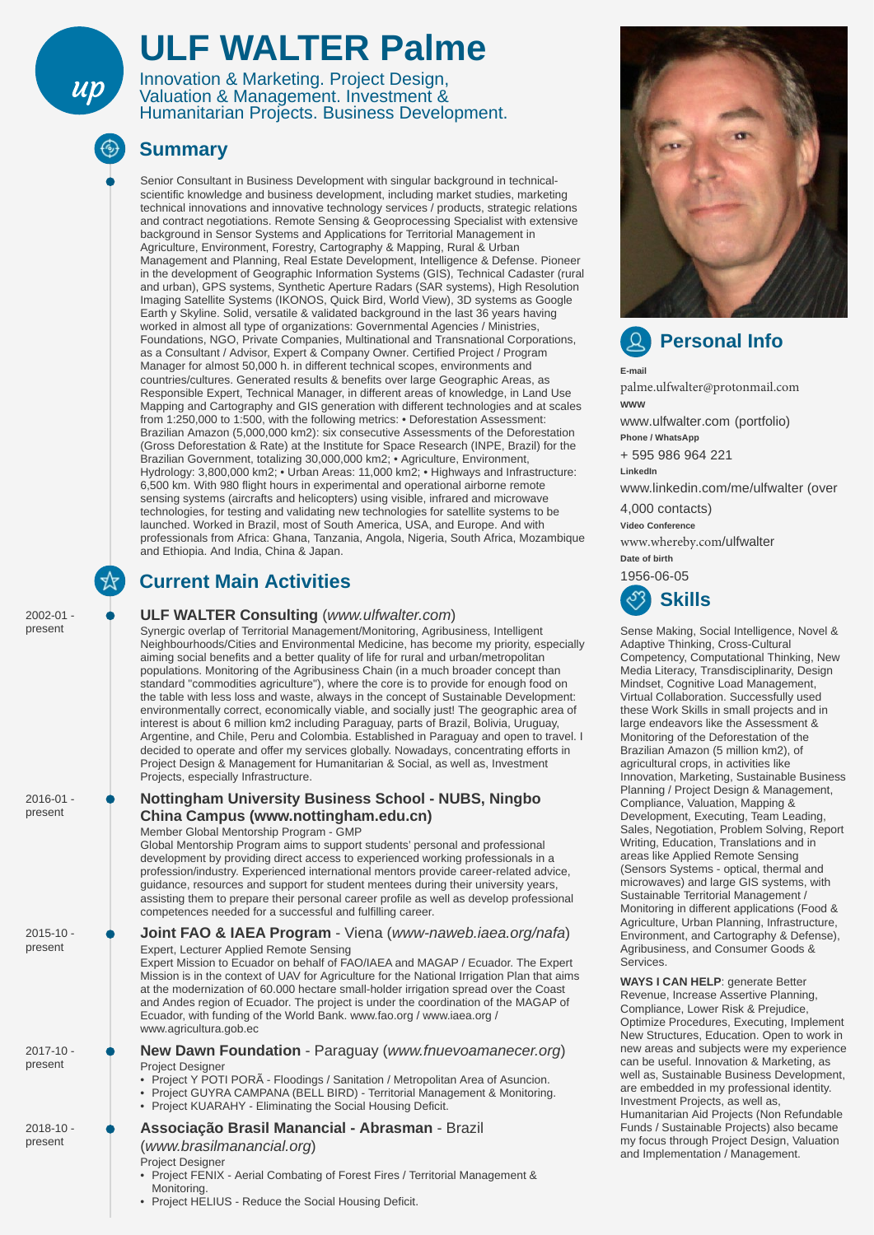# **ULF WALTER Palme**

Innovation & Marketing. Project Design, Valuation & Management. Investment & Humanitarian Projects. Business Development.

| $2016 - 01 -$<br>present | <b>Nottingham University Business School - NUBS, Ningbo</b><br>China Campus (www.nottingham.edu.cn)<br>Member Global Mentorship Program - GMP<br>Global Mentorship Program aims to support students' personal and professional<br>development by providing direct access to experienced working professionals in a<br>profession/industry. Experienced international mentors provide career-related advice,<br>guidance, resources and support for student mentees during their university years,<br>assisting them to prepare their personal career profile as well as develop professional<br>competences needed for a successful and fulfilling career. | $\sim$ . The contract of the contract of the contract of the contract of the contract of the contract of the contract of the contract of the contract of the contract of the contract of the contract of the contract of the co<br>Compliance, Valuation, Mapping &<br>Development, Executing, Team Leading,<br>Sales, Negotiation, Problem Solving, Report<br>Writing, Education, Translations and in<br>areas like Applied Remote Sensing<br>(Sensors Systems - optical, thermal and<br>microwaves) and large GIS systems, with<br>Sustainable Territorial Management /<br>Monitoring in different applications (Food &<br>Agriculture, Urban Planning, Infrastructure,<br>Environment, and Cartography & Defense),<br>Agribusiness, and Consumer Goods &<br>Services.<br><b>WAYS I CAN HELP: generate Better</b><br>Revenue, Increase Assertive Planning,<br>Compliance, Lower Risk & Prejudice,<br>Optimize Procedures, Executing, Implement<br>New Structures, Education. Open to work in<br>new areas and subjects were my experience<br>can be useful. Innovation & Marketing, as<br>well as, Sustainable Business Development,<br>are embedded in my professional identity.<br>Investment Projects, as well as,<br>Humanitarian Aid Projects (Non Refundable<br>Funds / Sustainable Projects) also became<br>my focus through Project Design, Valuation<br>and Implementation / Management. |
|--------------------------|------------------------------------------------------------------------------------------------------------------------------------------------------------------------------------------------------------------------------------------------------------------------------------------------------------------------------------------------------------------------------------------------------------------------------------------------------------------------------------------------------------------------------------------------------------------------------------------------------------------------------------------------------------|-----------------------------------------------------------------------------------------------------------------------------------------------------------------------------------------------------------------------------------------------------------------------------------------------------------------------------------------------------------------------------------------------------------------------------------------------------------------------------------------------------------------------------------------------------------------------------------------------------------------------------------------------------------------------------------------------------------------------------------------------------------------------------------------------------------------------------------------------------------------------------------------------------------------------------------------------------------------------------------------------------------------------------------------------------------------------------------------------------------------------------------------------------------------------------------------------------------------------------------------------------------------------------------------------------------------------------------------------------------------------------------------------------|
| $2015 - 10$ -<br>present | <b>Joint FAO &amp; IAEA Program</b> - Viena (www-naweb.iaea.org/nafa)<br><b>Expert, Lecturer Applied Remote Sensing</b><br>Expert Mission to Ecuador on behalf of FAO/IAEA and MAGAP / Ecuador. The Expert<br>Mission is in the context of UAV for Agriculture for the National Irrigation Plan that aims<br>at the modernization of 60.000 hectare small-holder irrigation spread over the Coast<br>and Andes region of Ecuador. The project is under the coordination of the MAGAP of<br>Ecuador, with funding of the World Bank. www.fao.org / www.iaea.org /<br>www.agricultura.gob.ec                                                                 |                                                                                                                                                                                                                                                                                                                                                                                                                                                                                                                                                                                                                                                                                                                                                                                                                                                                                                                                                                                                                                                                                                                                                                                                                                                                                                                                                                                                     |
| $2017 - 10 -$<br>present | <b>New Dawn Foundation</b> - Paraguay (www.fnuevoamanecer.org)<br><b>Project Designer</b><br>• Project Y POTI PORA - Floodings / Sanitation / Metropolitan Area of Asuncion.<br>• Project GUYRA CAMPANA (BELL BIRD) - Territorial Management & Monitoring.<br>• Project KUARAHY - Eliminating the Social Housing Deficit.                                                                                                                                                                                                                                                                                                                                  |                                                                                                                                                                                                                                                                                                                                                                                                                                                                                                                                                                                                                                                                                                                                                                                                                                                                                                                                                                                                                                                                                                                                                                                                                                                                                                                                                                                                     |
| $2018 - 10$ -<br>present | Associação Brasil Manancial - Abrasman - Brazil<br>(www.brasilmanancial.org)<br><b>Project Designer</b><br>• Project FENIX - Aerial Combating of Forest Fires / Territorial Management &                                                                                                                                                                                                                                                                                                                                                                                                                                                                   |                                                                                                                                                                                                                                                                                                                                                                                                                                                                                                                                                                                                                                                                                                                                                                                                                                                                                                                                                                                                                                                                                                                                                                                                                                                                                                                                                                                                     |

• Project HELIUS - Reduce the Social Housing Deficit.

### **ULF WALTER Consulting** (*www.ulfwalter.com*)

Synergic overlap of Territorial Management/Monitoring, Agribusiness, Intelligent Neighbourhoods/Cities and Environmental Medicine, has become my priority, especially aiming social benefits and a better quality of life for rural and urban/metropolitan populations. Monitoring of the Agribusiness Chain (in a much broader concept than standard "commodities agriculture"), where the core is to provide for enough food on the table with less loss and waste, always in the concept of Sustainable Development: environmentally correct, economically viable, and socially just! The geographic area of interest is about 6 million km2 including Paraguay, parts of Brazil, Bolivia, Uruguay, Argentine, and Chile, Peru and Colombia. Established in Paraguay and open to travel. I decided to operate and offer my services globally. Nowadays, concentrating efforts in Project Design & Management for Humanitarian & Social, as well as, Investment Projects, especially Infrastructure.



Monitoring.

### **Summary**

 $up$ 

Senior Consultant in Business Development with singular background in technicalscientific knowledge and business development, including market studies, marketing technical innovations and innovative technology services / products, strategic relations and contract negotiations. Remote Sensing & Geoprocessing Specialist with extensive background in Sensor Systems and Applications for Territorial Management in Agriculture, Environment, Forestry, Cartography & Mapping, Rural & Urban Management and Planning, Real Estate Development, Intelligence & Defense. Pioneer in the development of Geographic Information Systems (GIS), Technical Cadaster (rural and urban), GPS systems, Synthetic Aperture Radars (SAR systems), High Resolution Imaging Satellite Systems (IKONOS, Quick Bird, World View), 3D systems as Google Earth y Skyline. Solid, versatile & validated background in the last 36 years having worked in almost all type of organizations: Governmental Agencies / Ministries, Foundations, NGO, Private Companies, Multinational and Transnational Corporations, as a Consultant / Advisor, Expert & Company Owner. Certified Project / Program Manager for almost 50,000 h. in different technical scopes, environments and countries/cultures. Generated results & benefits over large Geographic Areas, as Responsible Expert, Technical Manager, in different areas of knowledge, in Land Use Mapping and Cartography and GIS generation with different technologies and at scales from 1:250,000 to 1:500, with the following metrics: • Deforestation Assessment: Brazilian Amazon (5,000,000 km2): six consecutive Assessments of the Deforestation (Gross Deforestation & Rate) at the Institute for Space Research (INPE, Brazil) for the Brazilian Government, totalizing 30,000,000 km2; • Agriculture, Environment, Hydrology: 3,800,000 km2; • Urban Areas: 11,000 km2; • Highways and Infrastructure: 6,500 km. With 980 flight hours in experimental and operational airborne remote sensing systems (aircrafts and helicopters) using visible, infrared and microwave technologies, for testing and validating new technologies for satellite systems to be launched. Worked in Brazil, most of South America, USA, and Europe. And with professionals from Africa: Ghana, Tanzania, Angola, Nigeria, South Africa, Mozambique and Ethiopia. And India, China & Japan.

2002-01 present

☆

## **Current Main Activities**



**E-mail**

[palme.ulfwalter@protonma](mailto:ulfwalter@ulfwalter.com)il.com **WWW** www.ulfwalter.com (portfolio) **Phone / WhatsApp** + 595 986 964 221 **LinkedIn** www.linkedin.com/me/ulfwalter (over 4,000 contacts) **Video Conference** www.whereby.com/ulfwalter Date of birth 1956-06-05 **Skills**

Sense Making, Social Intelligence, Novel & Adaptive Thinking, Cross-Cultural Competency, Computational Thinking, New Media Literacy, Transdisciplinarity, Design Mindset, Cognitive Load Management, Virtual Collaboration. Successfully used these Work Skills in small projects and in large endeavors like the Assessment & Monitoring of the Deforestation of the Brazilian Amazon (5 million km2), of agricultural crops, in activities like Innovation, Marketing, Sustainable Business Planning / Project Design & Management,